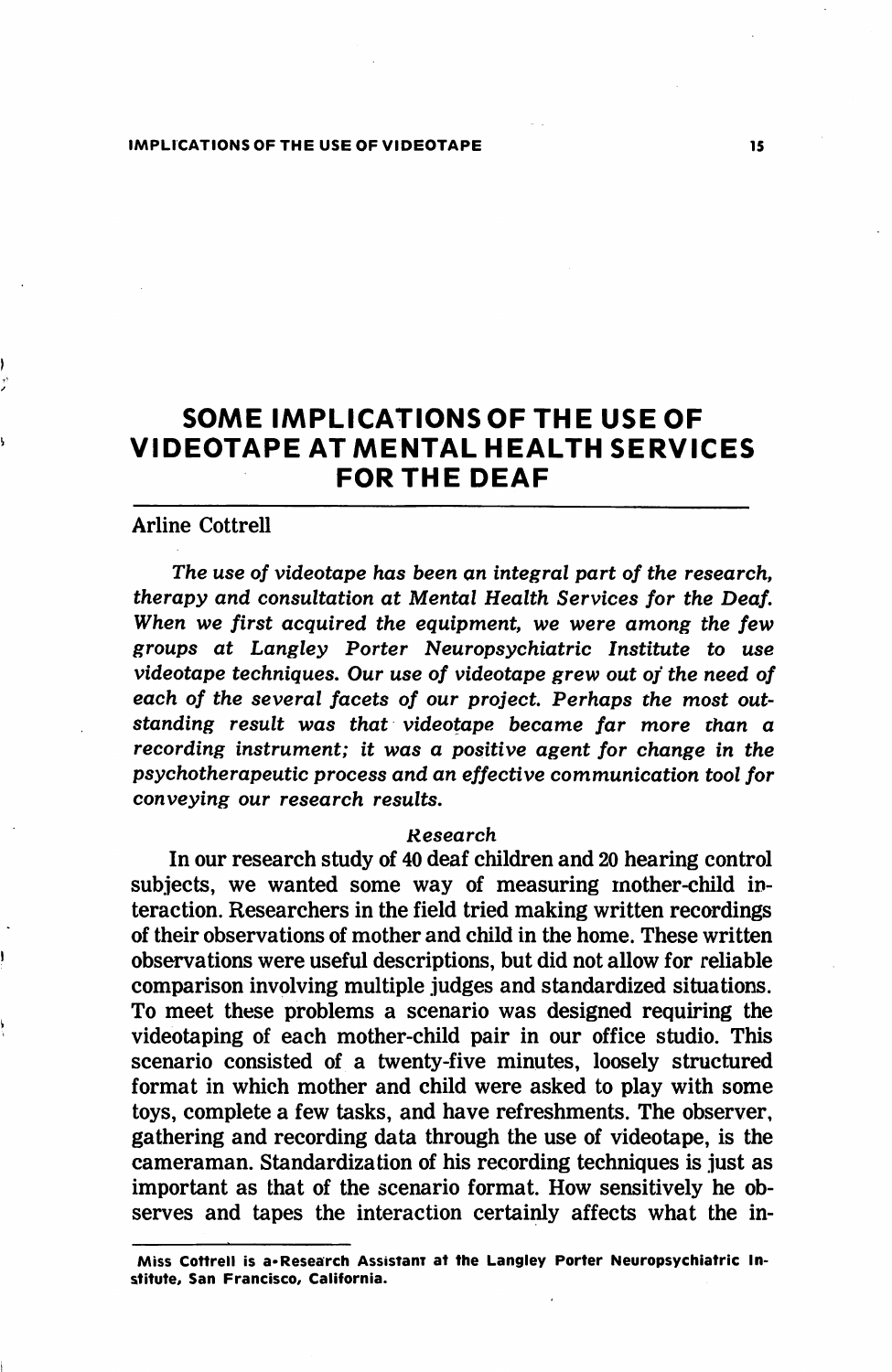# SOME IMPLICATIONS OF THE USE OF VIDEOTAPE AT MENTAL HEALTH SERVICES FOR THE DEAF

## Arline Cottrell

The use of videotape has been an integral part of the research, therapy and consultation at Mental Health Services for the Deaf. When we first acquired the equipment, we were among the few groups at Langley Porter Neuropsychiatric Institute to use videotape techniques. Our use of videotape grew out of the need of each of the several facets of our project. Perhaps the most out standing result was that videotape became far more than a recording instrument; it was a positive agent for change in the psychotherapeutic process and an effective communication tool for conveying our research results.

#### Research

In our research study of 40 deaf children and 20 hearing control subjects, we wanted some way of measuring mother-child in teraction. Researchers in the field tried making written recordings of their observations of mother and child in the home. These written observations were useful descriptions, but did not allow for reliable comparison involving multiple judges and standardized situations. To meet these problems a scenario was designed requiring the videotaping of each mother-child pair in our office studio. This scenario consisted of a twenty-five minutes, loosely structured format in which mother and child were asked to play with some toys, complete a few tasks, and have refreshments. The observer, gathering and recording data through the use of videotape, is the cameraman. Standardization of his recording techniques is just as important as that of the scenario format. How sensitively he ob serves and tapes the interaction certainly affects what the in-

Miss Cottrell is a\*Research Assistanr at the Langley Porter Neuropsychiatric Institute, San Francisco, California.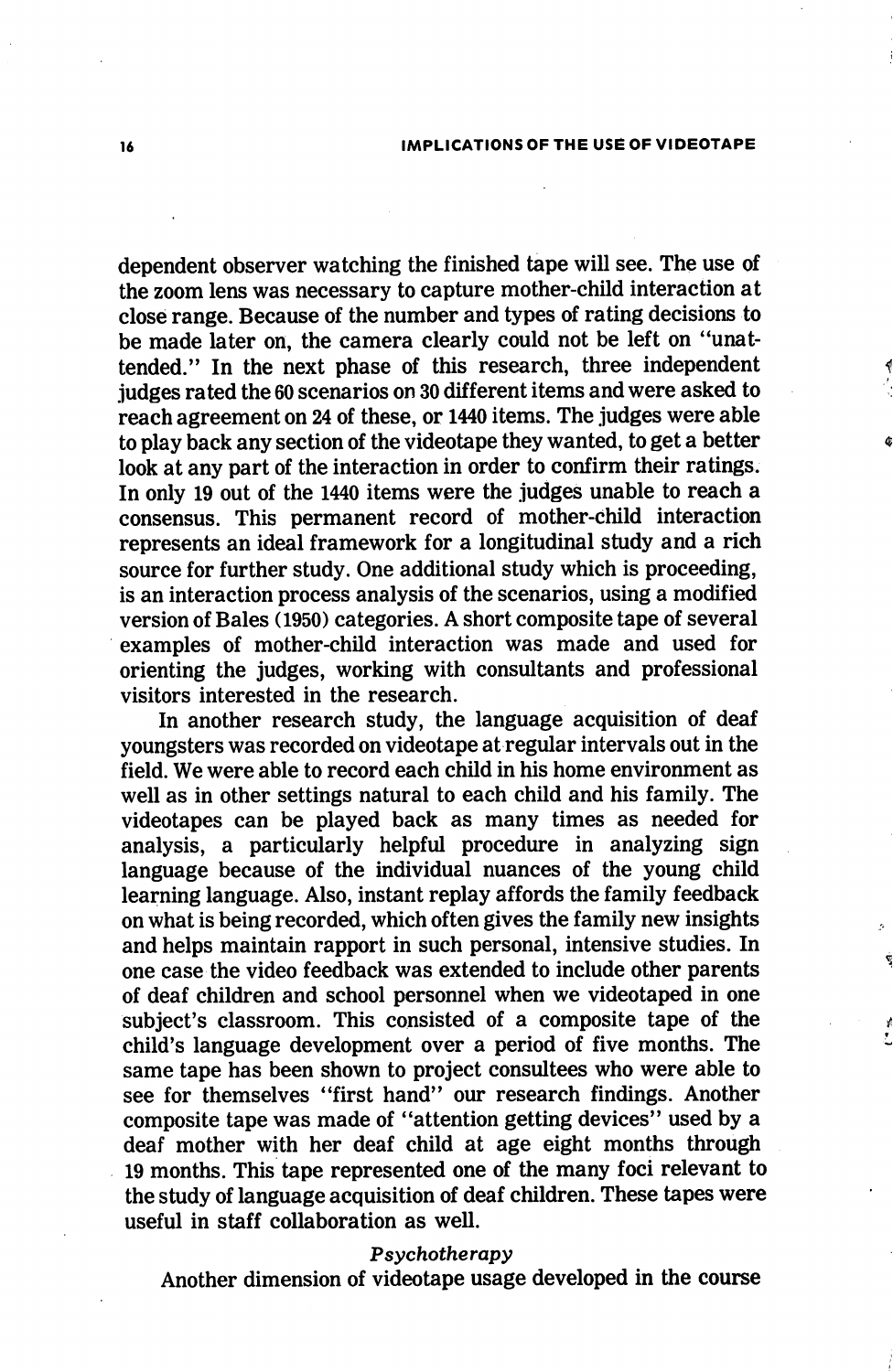dependent observer watching the finished tape will see. The use of the zoom lens was necessary to capture mother-child interaction at close range. Because of the number and types of rating decisions to be made later on, the camera clearly could not be left on "unat tended." In the next phase of this research, three independent judges rated the 60 scenarios on 30 different items and were asked to reach agreement on 24 of these, or 1440 items. The judges were able to play back any section of the videotape they wanted, to get a better look at any part of the interaction in order to confirm their ratings. In only 19 out of the 1440 items were the judges unable to reach a consensus. This permanent record of mother-child interaction represents an ideal framework for a longitudinal study and a rich source for further study. One additional study which is proceeding, is an interaction process analysis of the scenarios, using a modified version of Bales (1950) categories. A short composite tape of several examples of mother-child interaction was made and used for orienting the judges, working with consultants and professional visitors interested in the research.

In another research study, the language acquisition of deaf youngsters was recorded on videotape at regular intervals out in the field. We were able to record each child in his home environment as well as in other settings natural to each child and his family. The videotapes can be played back as many times as needed for analysis, a particularly helpful procedure in analyzing sign language because of the individual nuances of the young child learning language. Also, instant replay affords the family feedback on what is being recorded, which often gives the family new insights and helps maintain rapport in such personal, intensive studies. In one case the video feedback was extended to include other parents of deaf children and school personnel when we videotaped in one subject's classroom. This consisted of a composite tape of the child's language development over a period of five months. The same tape has been shown to project consultees who were able to see for themselves "first hand" our research findings. Another composite tape was made of "attention getting devices" used by a deaf mother with her deaf child at age eight months through 19 months. This tape represented one of the many foci relevant to the study of language acquisition of deaf children. These tapes were useful in staff collaboration as well.

### Psychotherapy

Another dimension of videotape usage developed in the course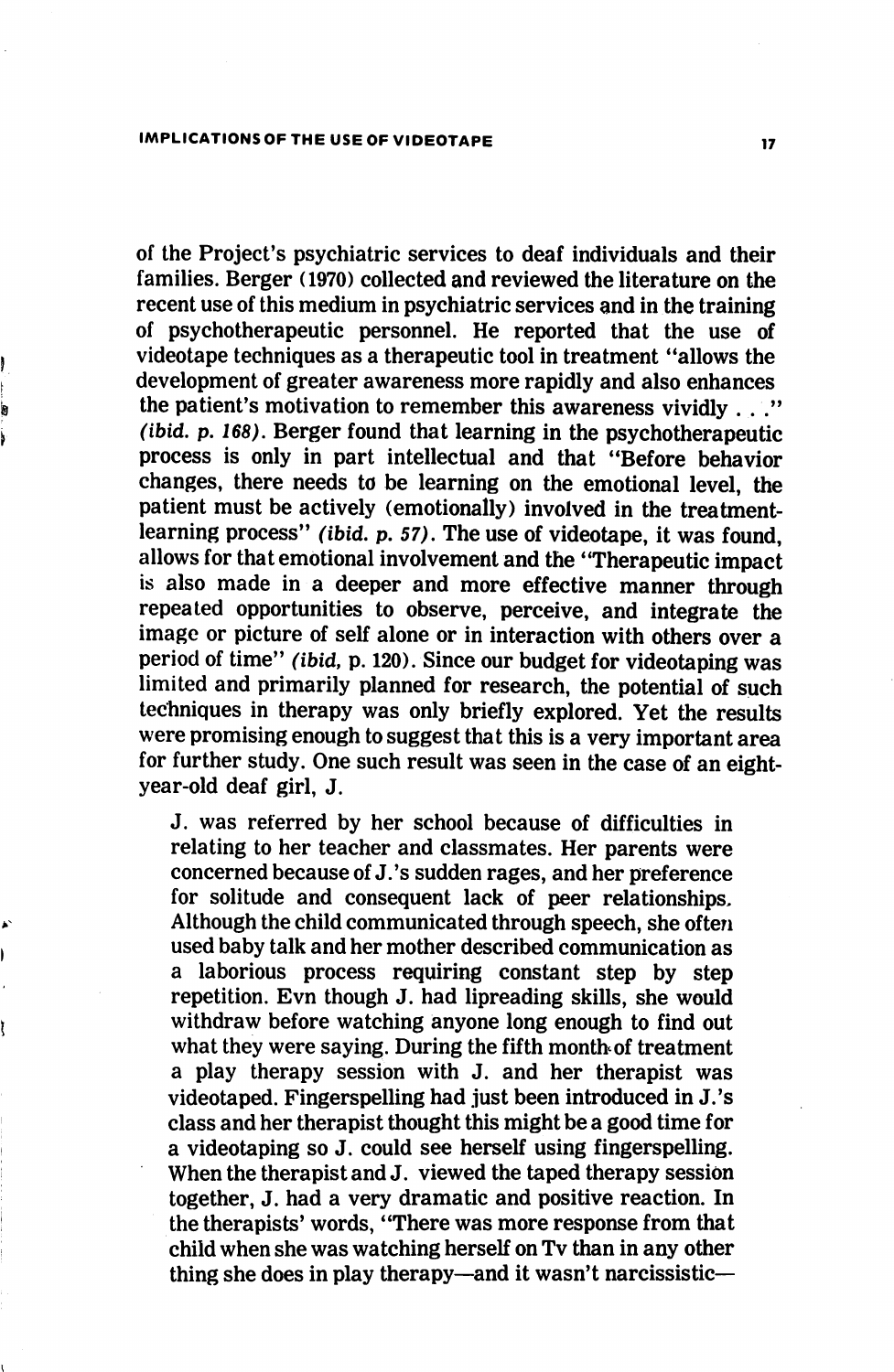of the Project's psychiatric services to deaf individuals and their families. Berger (1970) collected and reviewed the literature on the recent use of this medium in psychiatric services and in the training of psychotherapeutic personnel. He reported that the use of videotape techniques as a therapeutic tool in treatment "allows the development of greater awareness more rapidly and also enhances the patient's motivation to remember this awareness vividly . . ."  $(i$ bid. p. 168). Berger found that learning in the psychotherapeutic process is only in part intellectual and that "Before behavior changes, there needs to be learning on the emotional level, the patient must be actively (emotionally) involved in the treatmentlearning process" (ibid. p. 57). The use of videotape, it was found, allows for that emotional involvement and the "Therapeutic impact is also made in a deeper and more effective manner through repeated opportunities to observe, perceive, and integrate the image or picture of self alone or in interaction with others over a period of time" {ibid, p. 120). Since our budget for videotaping was limited and primarily planned for research, the potential of such techniques in therapy was only briefly explored. Yet the results were promising enough to suggest that this is a very important area for further study. One such result was seen in the case of an eightyear-old deaf girl, J.

J. was referred by her school because of difficulties in relating to her teacher and classmates. Her parents were concerned because of J.'s sudden rages, and her preference for solitude and consequent lack of peer relationships. Although the child communicated through speech, she often used baby talk and her mother described communication as a laborious process requiring constant step by step repetition. Evn though J. had lipreading skills, she would withdraw before watching anyone long enough to find out what they were saying. During the fifth month of treatment a play therapy session with J. and her therapist was videotaped. Fingerspelling had just been introduced in J.'s class and her therapist thought this might be a good time for a videotaping so J. could see herself using fingerspelling. When the therapist and J. viewed the taped therapy session together, J. had a very dramatic and positive reaction. In the therapists' words, "There was more response from that child when she was watching herself on Tv than in any other thing she does in play therapy—and it wasn't narcissistic—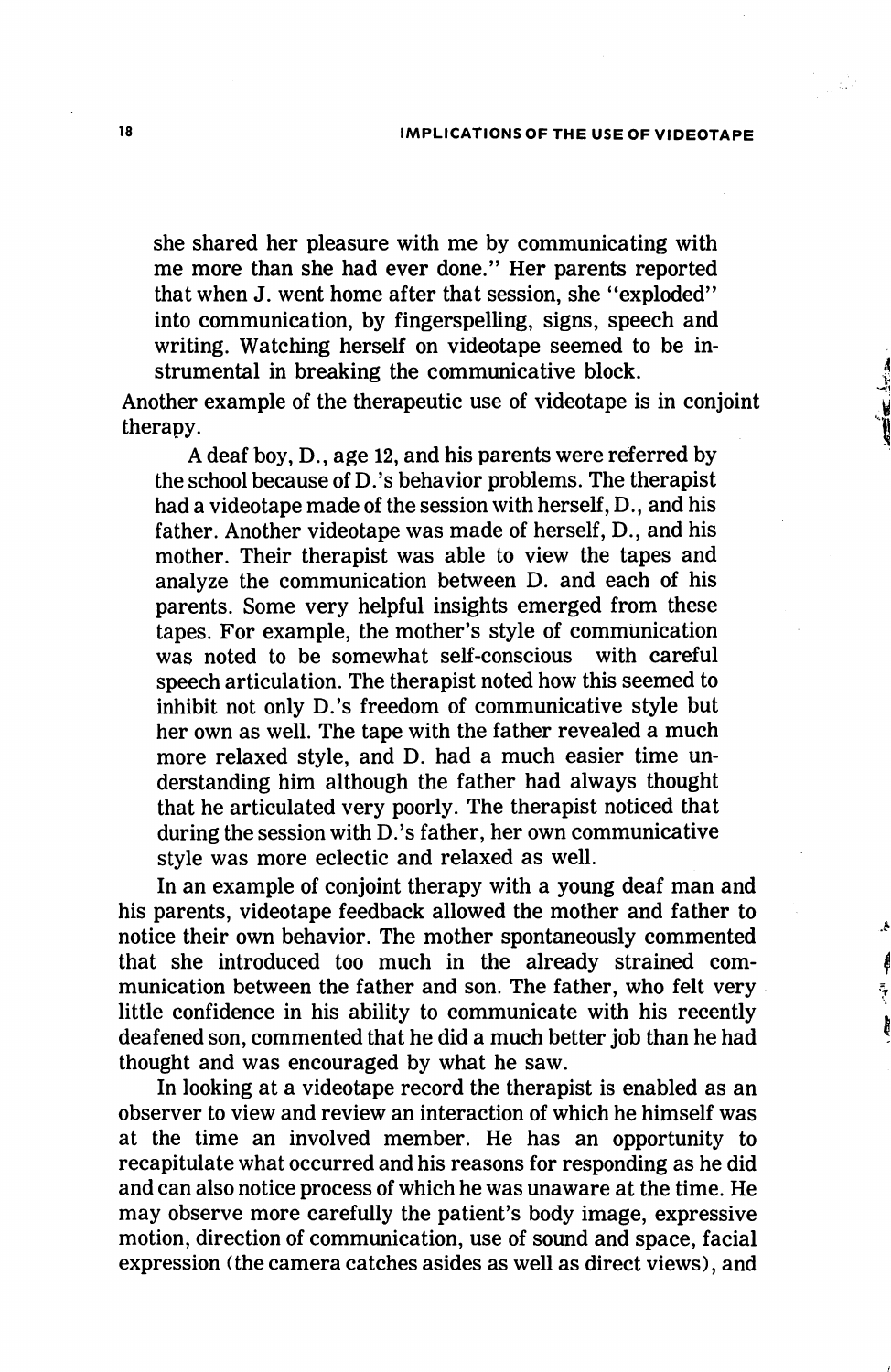### 18 IMPLICATIONS OF THE USE OF VIDEOTAPE

she shared her pleasure with me by communicating with me more than she had ever done." Her parents reported that when J. went home after that session, she "exploded" into communication, by fingerspelling, signs, speech and writing. Watching herself on videotape seemed to be in strumental in breaking the communicative block.

Another example of the therapeutic use of videotape is in conjoint therapy.

A deaf boy, D., age 12, and his parents were referred by the school because of D.'s behavior problems. The therapist had a videotape made of the session with herself, D., and his father. Another videotape was made of herself, D., and his mother. Their therapist was able to view the tapes and analyze the communication between D. and each of his parents. Some very helpful insights emerged from these tapes. For example, the mother's style of communication was noted to be somewhat self-conscious with careful speech articulation. The therapist noted how this seemed to inhibit not only D.'s freedom of communicative style but her own as well. The tape with the father revealed a much more relaxed style, and D. had a much easier time un derstanding him although the father had always thought that he articulated very poorly. The therapist noticed that during the session with D.'s father, her own communicative style was more eclectic and relaxed as well.

In an example of conjoint therapy with a young deaf man and his parents, videotape feedback allowed the mother and father to notice their own behavior. The mother spontaneously commented that she introduced too much in the already strained com munication between the father and son. The father, who felt very little confidence in his ability to communicate with his recently deafened son, commented that he did a much better job than he had thought and was encouraged by what he saw.

 $\mathbf{A}$ 

In looking at a videotape record the therapist is enabled as an observer to view and review an interaction of which he himself was at the time an involved member. He has an opportunity to recapitulate what occurred and his reasons for responding as he did and can also notice process of which he was unaware at the time. He may observe more carefully the patient's body image, expressive motion, direction of communication, use of sound and space, facial expression (the camera catches asides as well as direct views), and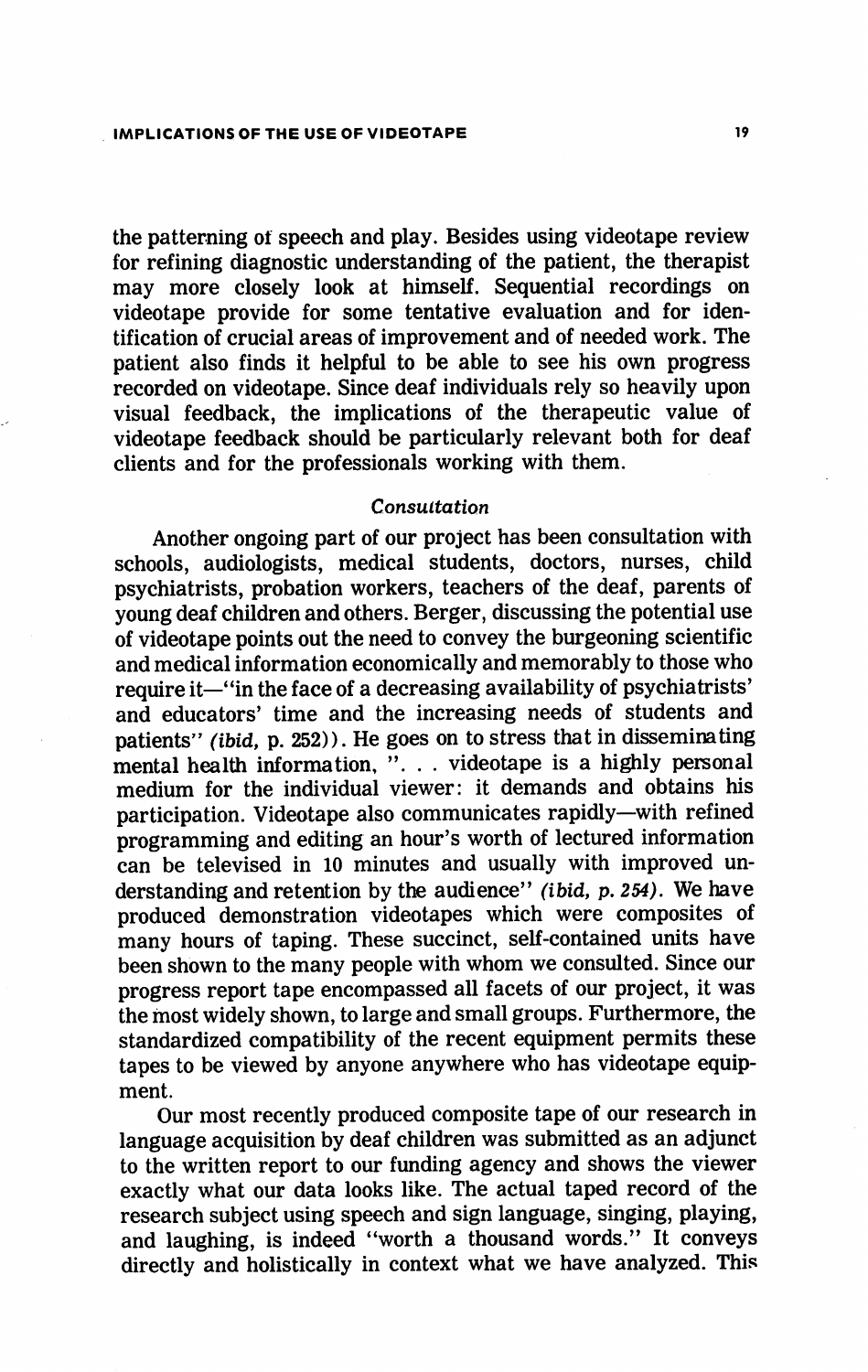the patterning of speech and play. Besides using videotape review for refining diagnostic understanding of the patient, the therapist may more closely look at himself. Sequential recordings on videotape provide for some tentative evaluation and for iden tification of crucial areas of improvement and of needed work. The patient also finds it helpful to be able to see his own progress recorded on videotape. Since deaf individuals rely so heavily upon visual feedback, the implications of the therapeutic value of videotape feedback should be particularly relevant both for deaf clients and for the professionals working with them.

### Consultation

Another ongoing part of our project has been consultation with schools, audiologists, medical students, doctors, nurses, child psychiatrists, probation workers, teachers of the deaf, parents of young deaf children and others. Berger, discussing the potential use of videotape points out the need to convey the burgeoning scientific and medical information economically and memorably to those who require it—"in the face of a decreasing availability of psychiatrists' and educators' time and the increasing needs of students and patients" (ibid, p. 252)). He goes on to stress that in disseminating mental health information, "... videotape is a highly personal medium for the individual viewer: it demands and obtains his participation. Videotape also communicates rapidly—with refined programming and editing an hour's worth of lectured information can be televised in 10 minutes and usually with improved un derstanding and retention by the audience" (ibid, p. 254). We have produced demonstration videotapes which were composites of many hours of taping. These succinct, self-contained units have been shown to the many people with whom we consulted. Since our progress report tape encompassed all facets of our project, it was the most widely shown, to large and small groups. Furthermore, the standardized compatibility of the recent equipment permits these tapes to be viewed by anyone anywhere who has videotape equip ment.

Our most recently produced composite tape of our research in language acquisition by deaf children was submitted as an adjunct to the written report to our funding agency and shows the viewer exactly what our data looks like. The actual taped record of the research subject using speech and sign language, singing, playing, and laughing, is indeed "worth a thousand words." It conveys directly and holistically in context what we have analyzed. This